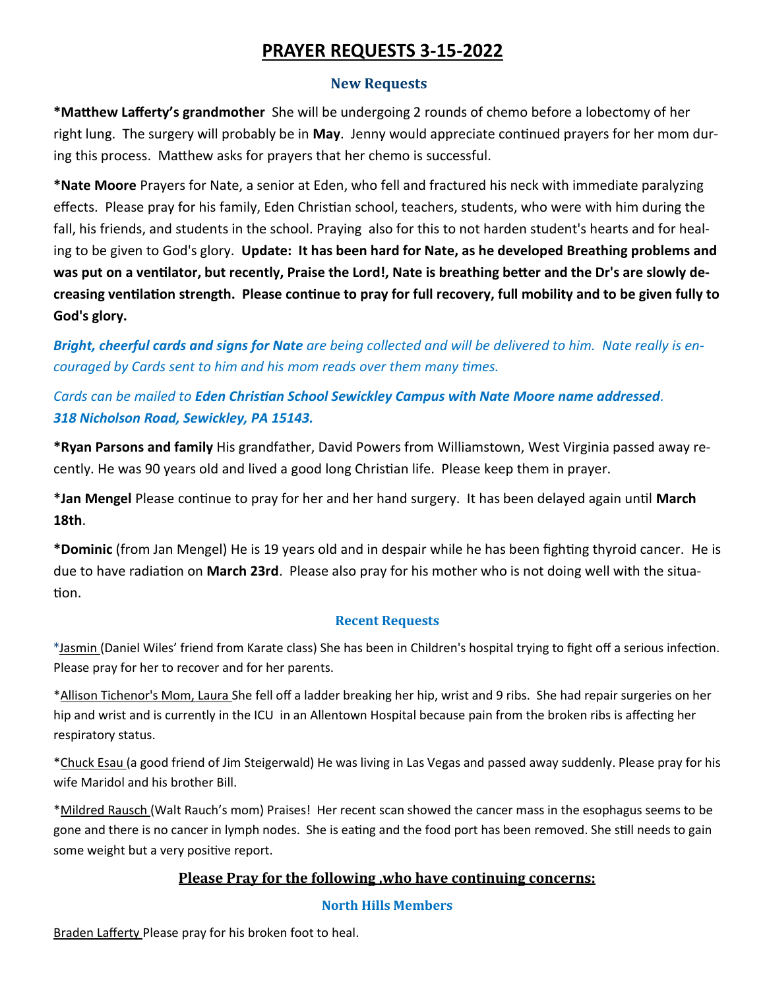# **PRAYER REQUESTS 3-15-2022**

### **New Requests**

**\*Matthew Lafferty's grandmother** She will be undergoing 2 rounds of chemo before a lobectomy of her right lung. The surgery will probably be in **May**. Jenny would appreciate continued prayers for her mom during this process. Matthew asks for prayers that her chemo is successful.

**\*Nate Moore** Prayers for Nate, a senior at Eden, who fell and fractured his neck with immediate paralyzing effects. Please pray for his family, Eden Christian school, teachers, students, who were with him during the fall, his friends, and students in the school. Praying also for this to not harden student's hearts and for healing to be given to God's glory. **Update: It has been hard for Nate, as he developed Breathing problems and was put on a ventilator, but recently, Praise the Lord!, Nate is breathing better and the Dr's are slowly decreasing ventilation strength. Please continue to pray for full recovery, full mobility and to be given fully to God's glory.** 

*Bright, cheerful cards and signs for Nate are being collected and will be delivered to him. Nate really is encouraged by Cards sent to him and his mom reads over them many times.* 

## *Cards can be mailed to Eden Christian School Sewickley Campus with Nate Moore name addressed. 318 Nicholson Road, Sewickley, PA 15143.*

**\*Ryan Parsons and family** His grandfather, David Powers from Williamstown, West Virginia passed away recently. He was 90 years old and lived a good long Christian life. Please keep them in prayer.

**\*Jan Mengel** Please continue to pray for her and her hand surgery. It has been delayed again until **March 18th**.

**\*Dominic** (from Jan Mengel) He is 19 years old and in despair while he has been fighting thyroid cancer. He is due to have radiation on **March 23rd**. Please also pray for his mother who is not doing well with the situation.

### **Recent Requests**

\*Jasmin (Daniel Wiles' friend from Karate class) She has been in Children's hospital trying to fight off a serious infection. Please pray for her to recover and for her parents.

\*Allison Tichenor's Mom, Laura She fell off a ladder breaking her hip, wrist and 9 ribs. She had repair surgeries on her hip and wrist and is currently in the ICU in an Allentown Hospital because pain from the broken ribs is affecting her respiratory status.

\*Chuck Esau (a good friend of Jim Steigerwald) He was living in Las Vegas and passed away suddenly. Please pray for his wife Maridol and his brother Bill.

\*Mildred Rausch (Walt Rauch's mom) Praises! Her recent scan showed the cancer mass in the esophagus seems to be gone and there is no cancer in lymph nodes. She is eating and the food port has been removed. She still needs to gain some weight but a very positive report.

### **Please Pray for the following ,who have continuing concerns:**

### **North Hills Members**

Braden Lafferty Please pray for his broken foot to heal.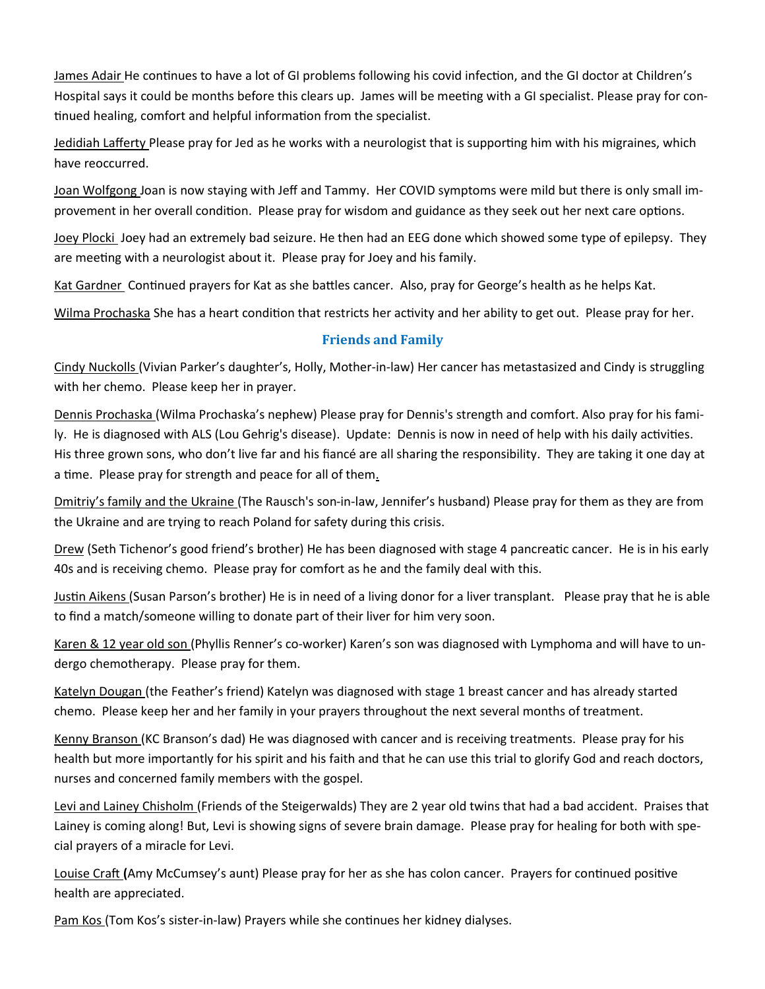James Adair He continues to have a lot of GI problems following his covid infection, and the GI doctor at Children's Hospital says it could be months before this clears up. James will be meeting with a GI specialist. Please pray for continued healing, comfort and helpful information from the specialist.

Jedidiah Lafferty Please pray for Jed as he works with a neurologist that is supporting him with his migraines, which have reoccurred.

Joan Wolfgong Joan is now staying with Jeff and Tammy. Her COVID symptoms were mild but there is only small improvement in her overall condition. Please pray for wisdom and guidance as they seek out her next care options.

Joey Plocki Joey had an extremely bad seizure. He then had an EEG done which showed some type of epilepsy. They are meeting with a neurologist about it. Please pray for Joey and his family.

Kat Gardner Continued prayers for Kat as she battles cancer. Also, pray for George's health as he helps Kat.

Wilma Prochaska She has a heart condition that restricts her activity and her ability to get out. Please pray for her.

### **Friends and Family**

Cindy Nuckolls (Vivian Parker's daughter's, Holly, Mother-in-law) Her cancer has metastasized and Cindy is struggling with her chemo. Please keep her in prayer.

Dennis Prochaska (Wilma Prochaska's nephew) Please pray for Dennis's strength and comfort. Also pray for his family. He is diagnosed with ALS (Lou Gehrig's disease). Update: Dennis is now in need of help with his daily activities. His three grown sons, who don't live far and his fiancé are all sharing the responsibility. They are taking it one day at a time. Please pray for strength and peace for all of them.

Dmitriy's family and the Ukraine (The Rausch's son-in-law, Jennifer's husband) Please pray for them as they are from the Ukraine and are trying to reach Poland for safety during this crisis.

Drew (Seth Tichenor's good friend's brother) He has been diagnosed with stage 4 pancreatic cancer. He is in his early 40s and is receiving chemo. Please pray for comfort as he and the family deal with this.

Justin Aikens (Susan Parson's brother) He is in need of a living donor for a liver transplant. Please pray that he is able to find a match/someone willing to donate part of their liver for him very soon.

Karen & 12 year old son (Phyllis Renner's co-worker) Karen's son was diagnosed with Lymphoma and will have to undergo chemotherapy. Please pray for them.

Katelyn Dougan (the Feather's friend) Katelyn was diagnosed with stage 1 breast cancer and has already started chemo. Please keep her and her family in your prayers throughout the next several months of treatment.

Kenny Branson (KC Branson's dad) He was diagnosed with cancer and is receiving treatments. Please pray for his health but more importantly for his spirit and his faith and that he can use this trial to glorify God and reach doctors, nurses and concerned family members with the gospel.

Levi and Lainey Chisholm (Friends of the Steigerwalds) They are 2 year old twins that had a bad accident. Praises that Lainey is coming along! But, Levi is showing signs of severe brain damage. Please pray for healing for both with special prayers of a miracle for Levi.

Louise Craft **(**Amy McCumsey's aunt) Please pray for her as she has colon cancer. Prayers for continued positive health are appreciated.

Pam Kos (Tom Kos's sister-in-law) Prayers while she continues her kidney dialyses.